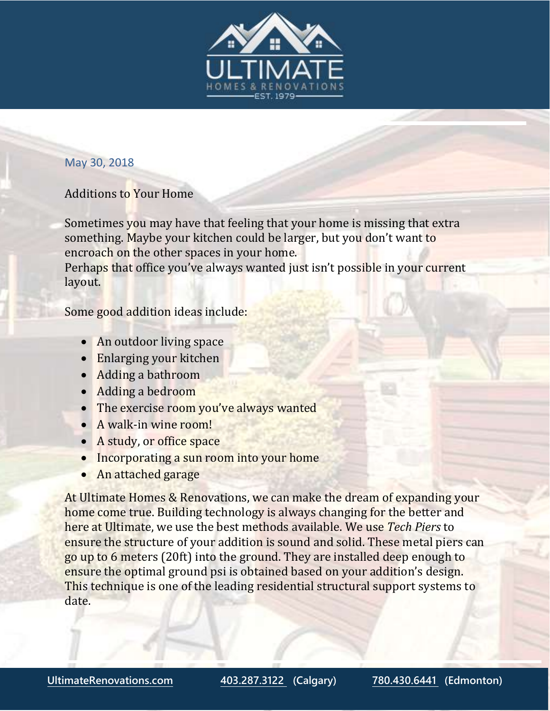

## May 30, 2018

## Additions to Your Home

Sometimes you may have that feeling that your home is missing that extra something. Maybe your kitchen could be larger, but you don't want to encroach on the other spaces in your home.

Perhaps that office you've always wanted just isn't possible in your current layout.

Some good addition ideas include:

- An outdoor living space
- Enlarging your kitchen
- Adding a bathroom
- Adding a bedroom
- The exercise room you've always wanted
- A walk-in wine room!
- A study, or office space
- Incorporating a sun room into your home
- An attached garage

At Ultimate Homes & Renovations, we can make the dream of expanding your home come true. Building technology is always changing for the better and here at Ultimate, we use the best methods available. We use *Tech Piers* to ensure the structure of your addition is sound and solid. These metal piers can go up to 6 meters (20ft) into the ground. They are installed deep enough to ensure the optimal ground psi is obtained based on your addition's design. This technique is one of the leading residential structural support systems to date.